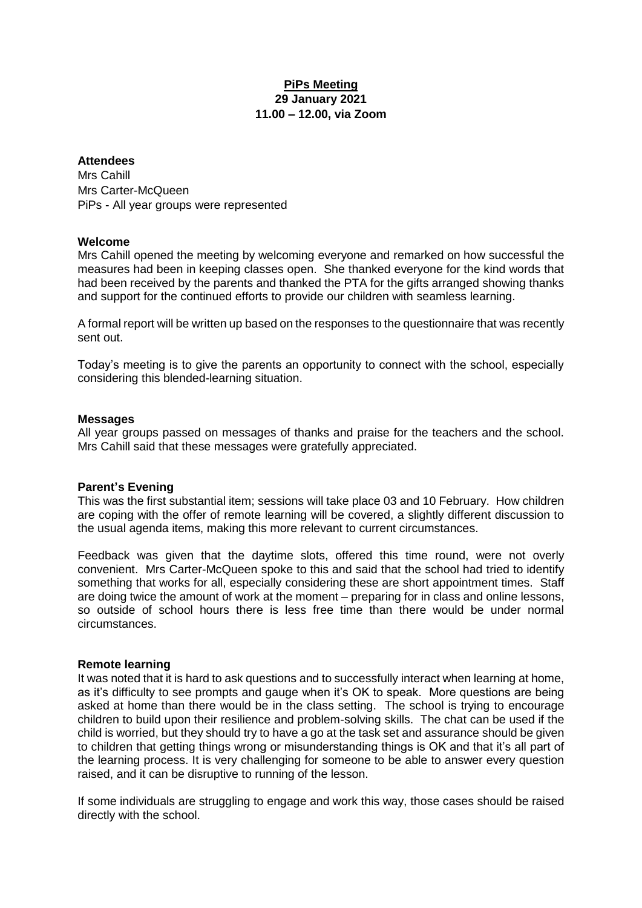# **PiPs Meeting 29 January 2021 11.00 – 12.00, via Zoom**

## **Attendees**

Mrs Cahill Mrs Carter-McQueen PiPs - All year groups were represented

## **Welcome**

Mrs Cahill opened the meeting by welcoming everyone and remarked on how successful the measures had been in keeping classes open. She thanked everyone for the kind words that had been received by the parents and thanked the PTA for the gifts arranged showing thanks and support for the continued efforts to provide our children with seamless learning.

A formal report will be written up based on the responses to the questionnaire that was recently sent out.

Today's meeting is to give the parents an opportunity to connect with the school, especially considering this blended-learning situation.

#### **Messages**

All year groups passed on messages of thanks and praise for the teachers and the school. Mrs Cahill said that these messages were gratefully appreciated.

## **Parent's Evening**

This was the first substantial item; sessions will take place 03 and 10 February. How children are coping with the offer of remote learning will be covered, a slightly different discussion to the usual agenda items, making this more relevant to current circumstances.

Feedback was given that the daytime slots, offered this time round, were not overly convenient. Mrs Carter-McQueen spoke to this and said that the school had tried to identify something that works for all, especially considering these are short appointment times. Staff are doing twice the amount of work at the moment – preparing for in class and online lessons, so outside of school hours there is less free time than there would be under normal circumstances.

#### **Remote learning**

It was noted that it is hard to ask questions and to successfully interact when learning at home, as it's difficulty to see prompts and gauge when it's OK to speak. More questions are being asked at home than there would be in the class setting. The school is trying to encourage children to build upon their resilience and problem-solving skills. The chat can be used if the child is worried, but they should try to have a go at the task set and assurance should be given to children that getting things wrong or misunderstanding things is OK and that it's all part of the learning process. It is very challenging for someone to be able to answer every question raised, and it can be disruptive to running of the lesson.

If some individuals are struggling to engage and work this way, those cases should be raised directly with the school.